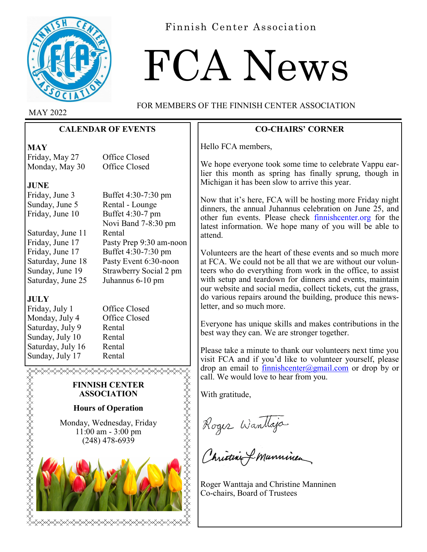

Finnish Center Association

# FCA News

MAY 2022

FOR MEMBERS OF THE FINNISH CENTER ASSOCIATION

# **CALENDAR OF EVENTS**

**MAY**

Friday, May 27 Office Closed Monday, May 30 Office Closed

# **JUNE**

Friday, June 3 Buffet 4:30-7:30 pm Sunday, June 5 Rental - Lounge Friday, June 10 Buffet 4:30-7 pm

Saturday, June 11 Rental Friday, June 17 Pasty Prep 9:30 am-noon Friday, June 17 Buffet 4:30-7:30 pm Saturday, June 18 Pasty Event 6:30-noon Sunday, June 19 Strawberry Social 2 pm Saturday, June 25 Juhannus 6-10 pm

# **JULY**

**turtuk pertama pertama pertama pertama pertama pertama pertama pertama pertama pertama pertama pertama pertama** 

Monday, July 4 Office Closed Saturday, July 9 Rental Sunday, July 10 Rental Saturday, July 16 Rental Sunday, July 17 Rental

Friday, July 1 Office Closed

Novi Band 7-8:30 pm

# **FINNISH CENTER ASSOCIATION**

# **Hours of Operation**

Monday, Wednesday, Friday 11:00 am - 3:00 pm (248) 478-6939



# **CO-CHAIRS' CORNER**

Hello FCA members,

We hope everyone took some time to celebrate Vappu earlier this month as spring has finally sprung, though in Michigan it has been slow to arrive this year.

Now that it's here, FCA will be hosting more Friday night dinners, the annual Juhannus celebration on June 25, and other fun events. Please check finnishcenter.org for the latest information. We hope many of you will be able to attend.

Volunteers are the heart of these events and so much more at FCA. We could not be all that we are without our volunteers who do everything from work in the office, to assist with setup and teardown for dinners and events, maintain our website and social media, collect tickets, cut the grass, do various repairs around the building, produce this newsletter, and so much more.

Everyone has unique skills and makes contributions in the best way they can. We are stronger together.

Please take a minute to thank our volunteers next time you visit FCA and if you'd like to volunteer yourself, please drop an email to [finnishcenter@gmail.com](mailto:finnishcenter@gmail.com) or drop by or call. We would love to hear from you.

With gratitude,

REAR ARTHRAIGHT

Roger Wantlaja

Roger Wanttaja and Christine Manninen Co-chairs, Board of Trustees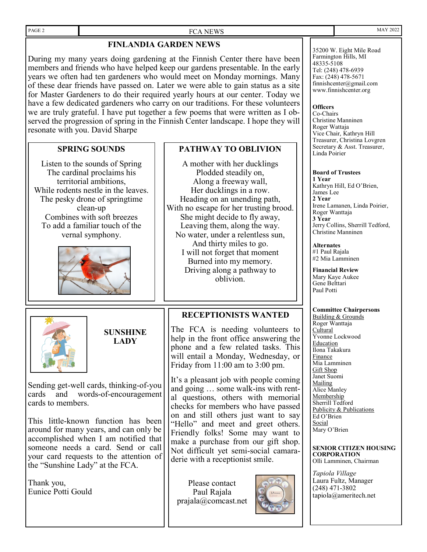#### PAGE 2 FCA NEWS

## **FINLANDIA GARDEN NEWS**

During my many years doing gardening at the Finnish Center there have been members and friends who have helped keep our gardens presentable. In the early years we often had ten gardeners who would meet on Monday mornings. Many of these dear friends have passed on. Later we were able to gain status as a site for Master Gardeners to do their required yearly hours at our center. Today we have a few dedicated gardeners who carry on our traditions. For these volunteers we are truly grateful. I have put together a few poems that were written as I observed the progression of spring in the Finnish Center landscape. I hope they will resonate with you. David Sharpe

#### **SPRING SOUNDS**

Listen to the sounds of Spring The cardinal proclaims his territorial ambitions, While rodents nestle in the leaves. The pesky drone of springtime clean-up Combines with soft breezes To add a familiar touch of the vernal symphony.





**SUNSHINE LADY**

Sending get-well cards, thinking-of-you cards and words-of-encouragement cards to members.

This little-known function has been around for many years, and can only be accomplished when I am notified that someone needs a card. Send or call your card requests to the attention of the "Sunshine Lady" at the FCA.

Thank you, Eunice Potti Gould

#### **PATHWAY TO OBLIVION**

A mother with her ducklings Plodded steadily on, Along a freeway wall, Her ducklings in a row. Heading on an unending path, With no escape for her trusting brood. She might decide to fly away, Leaving them, along the way. No water, under a relentless sun, And thirty miles to go. I will not forget that moment Burned into my memory. Driving along a pathway to oblivion.

#### **RECEPTIONISTS WANTED**

The FCA is needing volunteers to help in the front office answering the phone and a few related tasks. This will entail a Monday, Wednesday, or Friday from 11:00 am to 3:00 pm.

It's a pleasant job with people coming and going … some walk-ins with rental questions, others with memorial checks for members who have passed on and still others just want to say "Hello" and meet and greet others. Friendly folks! Some may want to make a purchase from our gift shop. Not difficult yet semi-social camaraderie with a receptionist smile.

Please contact Paul Rajala prajala@comcast.net



35200 W. Eight Mile Road Farmington Hills, MI 48335-5108 Tel: (248) 478-6939 Fax: (248) 478-5671 finnishcenter@gmail.com www.finnishcenter.org

#### **Officers**

Co-Chairs Christine Manninen Roger Wattaja Vice Chair, Kathryn Hill Treasurer, Christina Lovgren Secretary & Asst. Treasurer, Linda Poirier

#### **Board of Trustees**

**1 Year** Kathryn Hill, Ed O'Brien, James Lee **2 Year** Irene Lamanen, Linda Poirier, Roger Wanttaja **3 Year** Jerry Collins, Sherrill Tedford, Christine Manninen

**Alternates**

#1 Paul Rajala #2 Mia Lamminen

**Financial Review** Mary Kaye Aukee

#### Gene Belttari Paul Potti

#### **Committee Chairpersons**

Building & Grounds Roger Wanttaja Cultural Yvonne Lockwood Education Ilona Takakura Finance Mia Lamminen Gift Shop Janet Suomi Mailing Alice Manley **Membership** Sherrill Tedford Publicity & Publications Ed O'Brien Social Mary O'Brien

**SENIOR CITIZEN HOUSING CORPORATION** Olli Lamminen, Chairman

*Tapiola Village* Laura Fultz, Manager (248) 471-3802 tapiola@ameritech.net

MAY 2022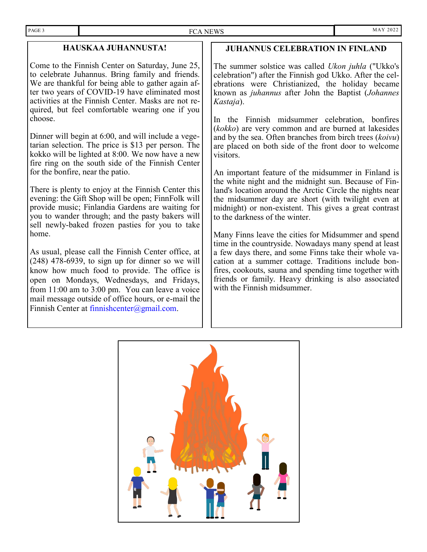# **HAUSKAA JUHANNUSTA!**

Come to the Finnish Center on Saturday, June 25, to celebrate Juhannus. Bring family and friends. We are thankful for being able to gather again after two years of COVID-19 have eliminated most activities at the Finnish Center. Masks are not required, but feel comfortable wearing one if you choose.

Dinner will begin at 6:00, and will include a vegetarian selection. The price is \$13 per person. The kokko will be lighted at 8:00. We now have a new fire ring on the south side of the Finnish Center for the bonfire, near the patio.

There is plenty to enjoy at the Finnish Center this evening: the Gift Shop will be open; FinnFolk will provide music; Finlandia Gardens are waiting for you to wander through; and the pasty bakers will sell newly-baked frozen pasties for you to take home.

As usual, please call the Finnish Center office, at (248) 478-6939, to sign up for dinner so we will know how much food to provide. The office is open on Mondays, Wednesdays, and Fridays, from 11:00 am to 3:00 pm. You can leave a voice mail message outside of office hours, or e-mail the Finnish Center at  $f$ innishcenter@gmail.com.

# **JUHANNUS CELEBRATION IN FINLAND**

The summer solstice was called *Ukon juhla* ("Ukko's celebration") after the Finnish god Ukko. After the celebrations were Christianized, the holiday became known as *juhannus* after John the Baptist (*Johannes Kastaja*).

In the Finnish midsummer celebration, bonfires (*kokko*) are very common and are burned at lakesides and by the sea. Often branches from birch trees (*koivu*) are placed on both side of the front door to welcome visitors.

An important feature of the midsummer in Finland is the white night and the [midnight sun.](https://en.wikipedia.org/wiki/Midnight_sun) Because of Finland's location around the Arctic Circle the nights near the midsummer day are short (with twilight even at midnight) or non-existent. This gives a great contrast to the darkness of the winter.

Many Finns leave the cities for Midsummer and spend time in the countryside. Nowadays many spend at least a few days there, and some Finns take their whole vacation at a summer cottage. Traditions include bonfires, cookouts, sauna and spending time together with friends or family. Heavy drinking is also associated with the Finnish midsummer.

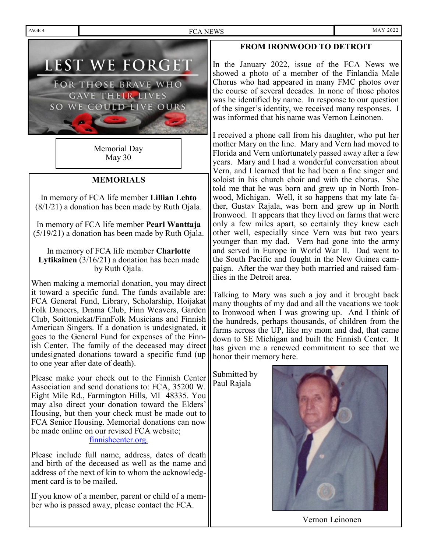PAGE 4 MAY 2022



Memorial Day May 30

# **MEMORIALS**

In memory of FCA life member **Lillian Lehto**  (8/1/21) a donation has been made by Ruth Ojala.

In memory of FCA life member **Pearl Wanttaja**  (5/19/21) a donation has been made by Ruth Ojala.

In memory of FCA life member **Charlotte Lytikainen** (3/16/21) a donation has been made by Ruth Ojala.

When making a memorial donation, you may direct it toward a specific fund. The funds available are: FCA General Fund, Library, Scholarship, Hoijakat Folk Dancers, Drama Club, Finn Weavers, Garden Club, Soittoniekat/FinnFolk Musicians and Finnish American Singers. If a donation is undesignated, it goes to the General Fund for expenses of the Finnish Center. The family of the deceased may direct undesignated donations toward a specific fund (up to one year after date of death).

Please make your check out to the Finnish Center Association and send donations to: FCA, 35200 W. Eight Mile Rd., Farmington Hills, MI 48335. You may also direct your donation toward the Elders' Housing, but then your check must be made out to FCA Senior Housing. Memorial donations can now be made online on our revised FCA website;

#### finnishcenter.org.

Please include full name, address, dates of death and birth of the deceased as well as the name and address of the next of kin to whom the acknowledgment card is to be mailed.

If you know of a member, parent or child of a member who is passed away, please contact the FCA.

# **FROM IRONWOOD TO DETROIT**

In the January 2022, issue of the FCA News we showed a photo of a member of the Finlandia Male Chorus who had appeared in many FMC photos over the course of several decades. In none of those photos was he identified by name. In response to our question of the singer's identity, we received many responses. I was informed that his name was Vernon Leinonen.

I received a phone call from his daughter, who put her mother Mary on the line. Mary and Vern had moved to Florida and Vern unfortunately passed away after a few years. Mary and I had a wonderful conversation about Vern, and I learned that he had been a fine singer and soloist in his church choir and with the chorus. She told me that he was born and grew up in North Ironwood, Michigan. Well, it so happens that my late father, Gustav Rajala, was born and grew up in North Ironwood. It appears that they lived on farms that were only a few miles apart, so certainly they knew each other well, especially since Vern was but two years younger than my dad. Vern had gone into the army and served in Europe in World War II. Dad went to the South Pacific and fought in the New Guinea campaign. After the war they both married and raised families in the Detroit area.

Talking to Mary was such a joy and it brought back many thoughts of my dad and all the vacations we took to Ironwood when I was growing up. And I think of the hundreds, perhaps thousands, of children from the farms across the UP, like my mom and dad, that came down to SE Michigan and built the Finnish Center. It has given me a renewed commitment to see that we honor their memory here.

Submitted by Paul Rajala



Vernon Leinonen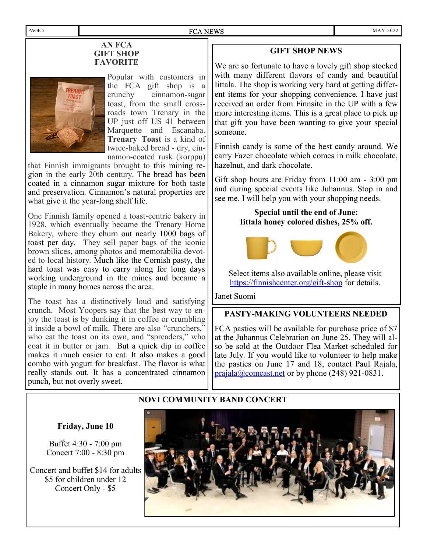#### **AN FCA GIFT SHOP FAVORITE**



Popular with customers in the FCA gift shop is a crunchy cinnamon-sugar toast, from the small crossroads town Trenary in the UP just off US 41 between Marquette and Escanaba. **Trenary Toast** is a kind of twice-baked bread - dry, cinnamon-coated rusk (korppu)

that Finnish immigrants brought to this mining region in the early 20th century. The bread has been coated in a cinnamon sugar mixture for both taste and preservation. Cinnamon's natural properties are what give it the year-long shelf life.

One Finnish family opened a toast-centric bakery in 1928, which eventually became the Trenary Home Bakery, where they churn out nearly 1000 bags of toast per day. They sell paper bags of the iconic brown slices, among photos and memorabilia devoted to local history. Much like the Cornish pasty, the hard toast was easy to carry along for long days working underground in the mines and became a staple in many homes across the area.

The toast has a distinctively loud and satisfying crunch. Most Yoopers say that the best way to enjoy the toast is by dunking it in coffee or crumbling it inside a bowl of milk. There are also "crunchers," who eat the toast on its own, and "spreaders," who coat it in butter or jam. But a quick dip in coffee makes it much easier to eat. It also makes a good combo with yogurt for breakfast. The flavor is what really stands out. It has a concentrated cinnamon punch, but not overly sweet.

#### **GIFT SHOP NEWS**

We are so fortunate to have a lovely gift shop stocked with many different flavors of candy and beautiful Iittala. The shop is working very hard at getting different items for your shopping convenience. I have just received an order from Finnsite in the UP with a few more interesting items. This is a great place to pick up that gift you have been wanting to give your special someone.

Finnish candy is some of the best candy around. We carry Fazer chocolate which comes in milk chocolate, hazelnut, and dark chocolate.

Gift shop hours are Friday from 11:00 am - 3:00 pm and during special events like Juhannus. Stop in and see me. I will help you with your shopping needs.

# **Special until the end of June: Iittala honey colored dishes, 25% off.**



Select items also available online, please visit [https://finnishcenter.org/gift](https://finnishcenter.org/gift-shop)-shop for details.

#### Janet Suomi

#### **PASTY-MAKING VOLUNTEERS NEEDED**

FCA pasties will be available for purchase price of \$7 at the Juhannus Celebration on June 25. They will also be sold at the Outdoor Flea Market scheduled for late July. If you would like to volunteer to help make the pasties on June 17 and 18, contact Paul Rajala,  $p_{\text{rajala}}(\omega_{\text{connect.net}})$  or by phone (248) 921-0831.

#### **NOVI COMMUNITY BAND CONCERT**

#### **Friday, June 10**

Buffet 4:30 - 7:00 pm Concert 7:00 - 8:30 pm

Concert and buffet \$14 for adults \$5 for children under 12 Concert Only - \$5